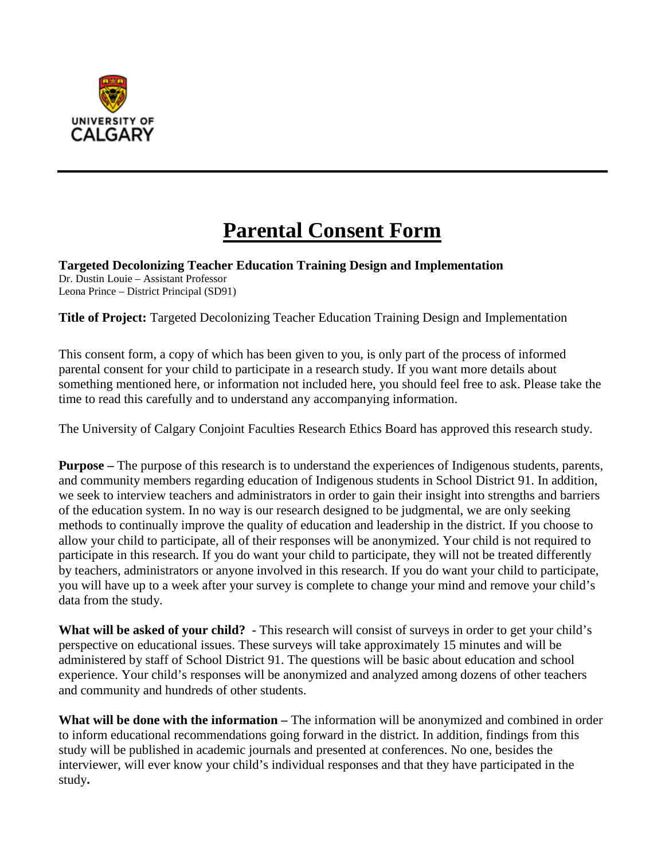

# **Parental Consent Form**

**Targeted Decolonizing Teacher Education Training Design and Implementation** Dr. Dustin Louie – Assistant Professor Leona Prince – District Principal (SD91)

**Title of Project:** Targeted Decolonizing Teacher Education Training Design and Implementation

This consent form, a copy of which has been given to you, is only part of the process of informed parental consent for your child to participate in a research study. If you want more details about something mentioned here, or information not included here, you should feel free to ask. Please take the time to read this carefully and to understand any accompanying information.

The University of Calgary Conjoint Faculties Research Ethics Board has approved this research study.

**Purpose** – The purpose of this research is to understand the experiences of Indigenous students, parents, and community members regarding education of Indigenous students in School District 91. In addition, we seek to interview teachers and administrators in order to gain their insight into strengths and barriers of the education system. In no way is our research designed to be judgmental, we are only seeking methods to continually improve the quality of education and leadership in the district. If you choose to allow your child to participate, all of their responses will be anonymized. Your child is not required to participate in this research. If you do want your child to participate, they will not be treated differently by teachers, administrators or anyone involved in this research. If you do want your child to participate, you will have up to a week after your survey is complete to change your mind and remove your child's data from the study.

**What will be asked of your child? -** This research will consist of surveys in order to get your child's perspective on educational issues. These surveys will take approximately 15 minutes and will be administered by staff of School District 91. The questions will be basic about education and school experience. Your child's responses will be anonymized and analyzed among dozens of other teachers and community and hundreds of other students.

**What will be done with the information –** The information will be anonymized and combined in order to inform educational recommendations going forward in the district. In addition, findings from this study will be published in academic journals and presented at conferences. No one, besides the interviewer, will ever know your child's individual responses and that they have participated in the study**.**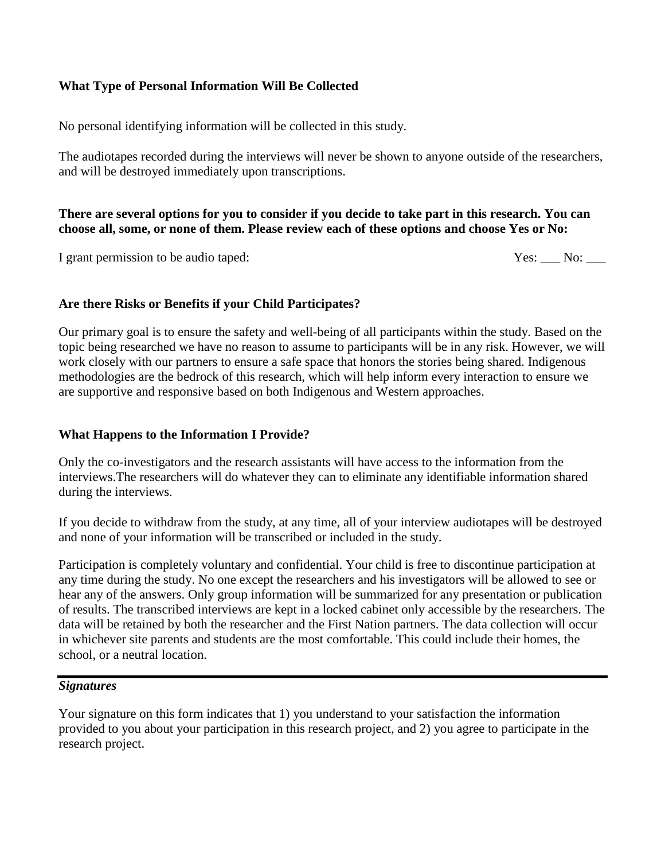## **What Type of Personal Information Will Be Collected**

No personal identifying information will be collected in this study.

The audiotapes recorded during the interviews will never be shown to anyone outside of the researchers, and will be destroyed immediately upon transcriptions.

### **There are several options for you to consider if you decide to take part in this research. You can choose all, some, or none of them. Please review each of these options and choose Yes or No:**

I grant permission to be audio taped:  $\Gamma$  Yes:  $\Gamma$  No:  $\Gamma$ 

# **Are there Risks or Benefits if your Child Participates?**

Our primary goal is to ensure the safety and well-being of all participants within the study. Based on the topic being researched we have no reason to assume to participants will be in any risk. However, we will work closely with our partners to ensure a safe space that honors the stories being shared. Indigenous methodologies are the bedrock of this research, which will help inform every interaction to ensure we are supportive and responsive based on both Indigenous and Western approaches.

# **What Happens to the Information I Provide?**

Only the co-investigators and the research assistants will have access to the information from the interviews.The researchers will do whatever they can to eliminate any identifiable information shared during the interviews.

If you decide to withdraw from the study, at any time, all of your interview audiotapes will be destroyed and none of your information will be transcribed or included in the study.

Participation is completely voluntary and confidential. Your child is free to discontinue participation at any time during the study. No one except the researchers and his investigators will be allowed to see or hear any of the answers. Only group information will be summarized for any presentation or publication of results. The transcribed interviews are kept in a locked cabinet only accessible by the researchers. The data will be retained by both the researcher and the First Nation partners. The data collection will occur in whichever site parents and students are the most comfortable. This could include their homes, the school, or a neutral location.

## *Signatures*

Your signature on this form indicates that 1) you understand to your satisfaction the information provided to you about your participation in this research project, and 2) you agree to participate in the research project.